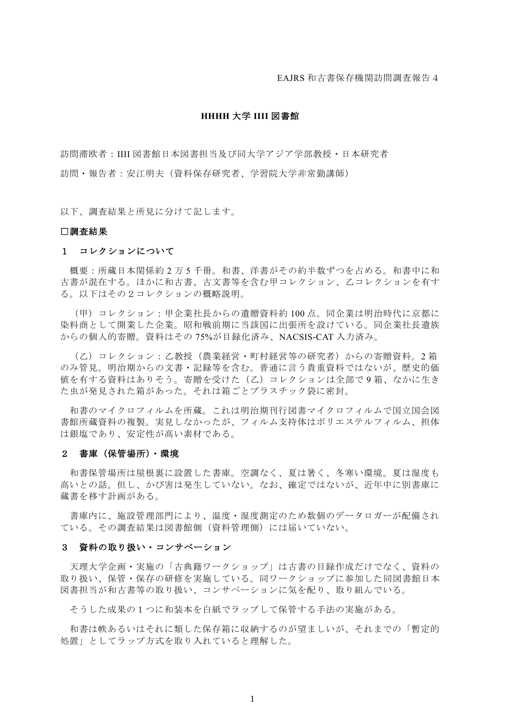EAJRS 和古書保存機関訪問調査報告4

# **HHHH** 大学 **IIII** 図書館

訪問滞欧者:IIII 図書館日本図書担当及び同大学アジア学部教授・日本研究者 訪問・報告者:安江明夫(資料保存研究者、学習院大学非常勤講師)

以下、調査結果と所見に分けて記します。

#### □調査結果

## 1 コレクションについて

概要:所蔵日本関係約 2 万 5 千冊。和書、洋書がその約半数ずつを占める。和書中に和 古書が混在する。ほかに和古書、古文書等を含む甲コレクション、乙コレクションを有す る。以下はその2コレクションの概略説明。

(甲)コレクション:甲企業社長からの遺贈資料約 100 点。同企業は明治時代に京都に 染料商として開業した企業。昭和戦前期に当該国に出張所を設けている。同企業社長遺族 からの個人的寄贈。資料はその 75%が目録化済み、NACSIS-CAT 入力済み。

(乙)コレクション:乙教授(農業経営・町村経営等の研究者)からの寄贈資料。2 箱 のみ管見。明治期からの文書・記録等を含む。普通に言う貴重資料ではないが、歴史的価 値を有する資料はありそう。寄贈を受けた(乙)コレクションは全部で 9 箱、なかに生き た虫が発見された箱があった。それは箱ごとプラスチック袋に密封。

和書のマイクロフィルムを所蔵。これは明治期刊行図書マイクロフィルムで国立国会図 書館所蔵資料の複製。実見しなかったが、フィルム支持体はポリエステルフィルム、担体 は銀塩であり、安定性が高い素材である。

#### 2 書庫(保管場所)・環境

和書保管場所は屋根裏に設置した書庫。空調なく、夏は暑く、冬寒い環境。夏は湿度も 高いとの話。但し、かび害は発生していない。なお、確定ではないが、近年中に別書庫に 蔵書を移す計画がある。

書庫内に、施設管理部門により、温度・湿度測定のため数個のデータロガーが配備され ている。その調査結果は図書館側(資料管理側)には届いていない。

#### 3 資料の取り扱い・コンサベーション

天理大学企画・実施の「古典籍ワークショップ」は古書の目録作成だけでなく、資料の 取り扱い、保管・保存の研修を実施している。同ワークショップに参加した同図書館日本 図書担当が和古書等の取り扱い、コンサベーションに気を配り、取り組んでいる。

そうした成果の1つに和装本を白紙でラップして保管する手法の実施がある。

和書は帙あるいはそれに類した保存箱に収納するのが望ましいが、それまでの「暫定的 処置」としてラップ方式を取り入れていると理解した。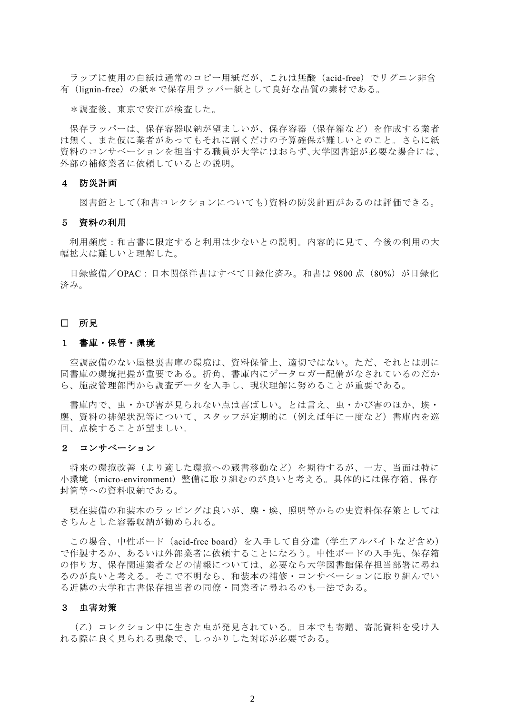ラップに使用の白紙は通常のコピー用紙だが、これは無酸(acid-free)でリグニン非含 有(lignin-free)の紙\*で保存用ラッパー紙として良好な品質の素材である。

\*調査後、東京で安江が検査した。

保存ラッパーは、保存容器収納が望ましいが、保存容器(保存箱など)を作成する業者 は無く、また仮に業者があってもそれに割くだけの予算確保が難しいとのこと。さらに紙 資料のコンサベーションを担当する職員が大学にはおらず、大学図書館が必要な場合には、 外部の補修業者に依頼しているとの説明。

## 4 防災計画

図書館として(和書コレクションについても)資料の防災計画があるのは評価できる。

### 5 資料の利用

 利用頻度:和古書に限定すると利用は少ないとの説明。内容的に見て、今後の利用の大 幅拡大は難しいと理解した。

目録整備/OPAC:日本関係洋書はすべて目録化済み。和書は 9800 点 (80%) が目録化 済み。

# □ 所見

### 1 書庫・保管・環境

空調設備のない屋根裏書庫の環境は、資料保管上、適切ではない。ただ、それとは別に 同書庫の環境把握が重要である。折角、書庫内にデータロガー配備がなされているのだか ら、施設管理部門から調査データを入手し、現状理解に努めることが重要である。

書庫内で、虫・かび害が見られない点は喜ばしい。とは言え、虫・かび害のほか、埃・ 塵、資料の排架状況等について、スタッフが定期的に(例えば年に一度など)書庫内を巡 回、点検することが望ましい。

#### 2 コンサベーション

将来の環境改善(より適した環境への蔵書移動など)を期待するが、一方、当面は特に 小環境(micro-environment)整備に取り組むのが良いと考える。具体的には保存箱、保存 封筒等への資料収納である。

現在装備の和装本のラッピングは良いが、塵・埃、照明等からの史資料保存策としては きちんとした容器収納が勧められる。

この場合、中性ボード(acid-free board)を入手して自分達(学生アルバイトなど含め) で作製するか、あるいは外部業者に依頼することになろう。中性ボードの入手先、保存箱 の作り方、保存関連業者などの情報については、必要なら大学図書館保存担当部署に尋ね るのが良いと考える。そこで不明なら、和装本の補修・コンサベーションに取り組んでい る近隣の大学和古書保存担当者の同僚・同業者に尋ねるのも一法である。

# 3 虫害対策

(乙)コレクション中に生きた虫が発見されている。日本でも寄贈、寄託資料を受け入 れる際に良く見られる現象で、しっかりした対応が必要である。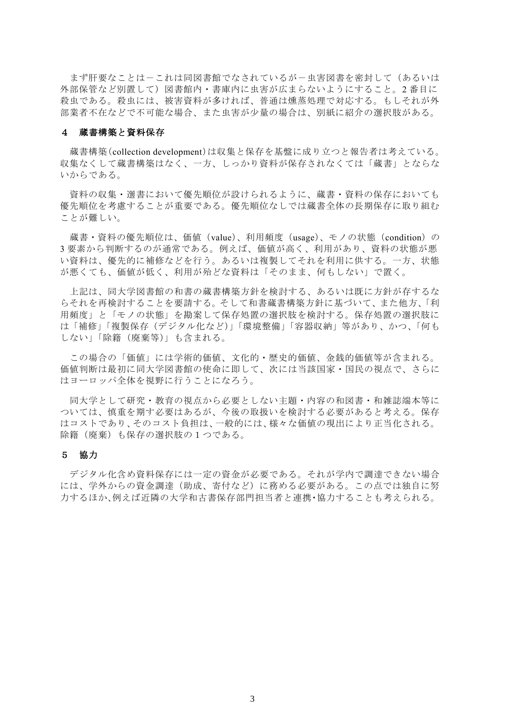まず肝要なことは-これは同図書館でなされているが-虫害図書を密封して(あるいは 外部保管など別置して)図書館内・書庫内に虫害が広まらないようにすること。2 番目に 殺虫である。殺虫には、被害資料が多ければ、普通は燻蒸処理で対応する。もしそれが外 部業者不在などで不可能な場合、また虫害が少量の場合は、別紙に紹介の選択肢がある。

### 4 蔵書構築と資料保存

蔵書構築(collection development)は収集と保存を基盤に成り立つと報告者は考えている。 収集なくして蔵書構築はなく、一方、しっかり資料が保存されなくては「蔵書」とならな いからである。

資料の収集・選書において優先順位が設けられるように、蔵書・資料の保存においても 優先順位を考慮することが重要である。優先順位なしでは蔵書全体の長期保存に取り組む ことが難しい。

蔵書・資料の優先順位は、価値(value)、利用頻度(usage)、モノの状態(condition)の 3 要素から判断するのが通常である。例えば、価値が高く、利用があり、資料の状態が悪 い資料は、優先的に補修などを行う。あるいは複製してそれを利用に供する。一方、状態 が悪くても、価値が低く、利用が殆どな資料は「そのまま、何もしない」で置く。

上記は、同大学図書館の和書の蔵書構築方針を検討する、あるいは既に方針が存するな らそれを再検討することを要請する。そして和書蔵書構築方針に基づいて、また他方、「利 用頻度」と「モノの状態」を勘案して保存処置の選択肢を検討する。保存処置の選択肢に は「補修」「複製保存(デジタル化など)」「環境整備」「容器収納」等があり、かつ、「何も しない」「除籍(廃棄等)」も含まれる。

この場合の「価値」には学術的価値、文化的・歴史的価値、金銭的価値等が含まれる。 価値判断は最初に同大学図書館の使命に即して、次には当該国家・国民の視点で、さらに はヨーロッパ全体を視野に行うことになろう。

同大学として研究・教育の視点から必要としない主題・内容の和図書・和雑誌端本等に ついては、慎重を期す必要はあるが、今後の取扱いを検討する必要があると考える。保存 はコストであり、そのコスト負担は、一般的には、様々な価値の現出により正当化される。 除籍(廃棄)も保存の選択肢の1つである。

## 5 協力

 デジタル化含め資料保存には一定の資金が必要である。それが学内で調達できない場合 には、学外からの資金調達(助成、寄付など)に務める必要がある。この点では独自に努 力するほか、例えば近隣の大学和古書保存部門担当者と連携・協力することも考えられる。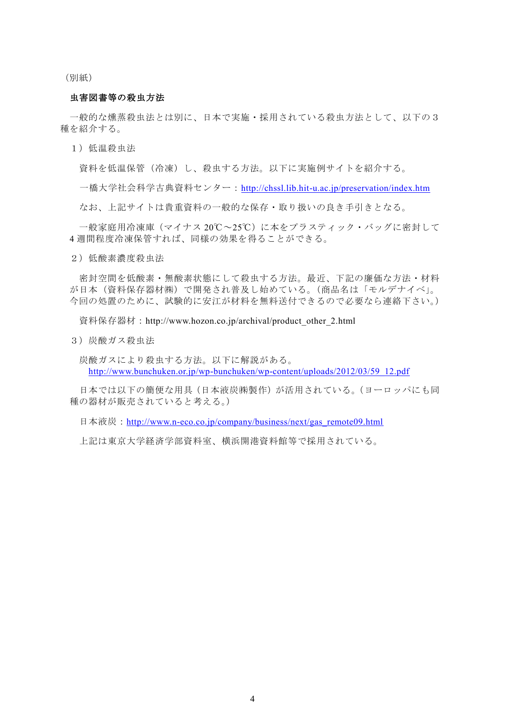(別紙)

# 虫害図書等の殺虫方法

 一般的な燻蒸殺虫法とは別に、日本で実施・採用されている殺虫方法として、以下の3 種を紹介する。

1)低温殺虫法

資料を低温保管(冷凍)し、殺虫する方法。以下に実施例サイトを紹介する。

一橋大学社会科学古典資料センター:<http://chssl.lib.hit-u.ac.jp/preservation/index.htm>

なお、上記サイトは貴重資料の一般的な保存・取り扱いの良き手引きとなる。

 一般家庭用冷凍庫(マイナス 20℃~25℃)に本をプラスティック・バッグに密封して 4 週間程度冷凍保管すれば、同様の効果を得ることができる。

2)低酸素濃度殺虫法

密封空間を低酸素・無酸素状態にして殺虫する方法。最近、下記の廉価な方法・材料 が日本(資料保存器材㈱)で開発され普及し始めている。(商品名は「モルデナイベ」。 今回の処置のために、試験的に安江が材料を無料送付できるので必要なら連絡下さい。)

資料保存器材: http://www.hozon.co.jp/archival/product other 2.html

3)炭酸ガス殺虫法

炭酸ガスにより殺虫する方法。以下に解説がある。 [http://www.bunchuken.or.jp/wp-bunchuken/wp-content/uploads/2012/03/59\\_12.pdf](http://www.bunchuken.or.jp/wp-bunchuken/wp-content/uploads/2012/03/59_12.pdf)

日本では以下の簡便な用具(日本液炭㈱製作)が活用されている。(ヨーロッパにも同 種の器材が販売されていると考える。)

日本液炭: [http://www.n-eco.co.jp/company/business/next/gas\\_remote09.html](http://www.n-eco.co.jp/company/business/next/gas_remote09.html)

上記は東京大学経済学部資料室、横浜開港資料館等で採用されている。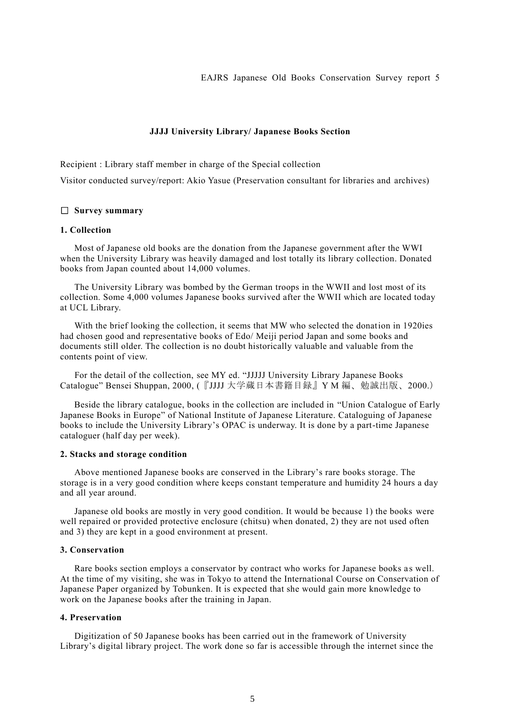EAJRS Japanese Old Books Conservation Survey report 5

### **JJJJ University Library/ Japanese Books Section**

Recipient : Library staff member in charge of the Special collection

Visitor conducted survey/report: Akio Yasue (Preservation consultant for libraries and archives)

# □ **Survey summary**

# **1. Collection**

 Most of Japanese old books are the donation from the Japanese government after the WWI when the University Library was heavily damaged and lost totally its library collection. Donated books from Japan counted about 14,000 volumes.

The University Library was bombed by the German troops in the WWII and lost most of its collection. Some 4,000 volumes Japanese books survived after the WWII which are located today at UCL Library.

With the brief looking the collection, it seems that MW who selected the donation in 1920ies had chosen good and representative books of Edo/ Meiji period Japan and some books and documents still older. The collection is no doubt historically valuable and valuable from the contents point of view.

 For the detail of the collection, see MY ed. "JJJJJ University Library Japanese Books Catalogue" Bensei Shuppan, 2000, (『JJJJ 大学蔵日本書籍目録』Y M 編、勉誠出版、2000.)

 Beside the library catalogue, books in the collection are included in "Union Catalogue of Early Japanese Books in Europe" of National Institute of Japanese Literature. Cataloguing of Japanese books to include the University Library's OPAC is underway. It is done by a part-time Japanese cataloguer (half day per week).

### **2. Stacks and storage condition**

Above mentioned Japanese books are conserved in the Library's rare books storage. The storage is in a very good condition where keeps constant temperature and humidity 24 hours a day and all year around.

Japanese old books are mostly in very good condition. It would be because 1) the books were well repaired or provided protective enclosure (chitsu) when donated, 2) they are not used often and 3) they are kept in a good environment at present.

# **3. Conservation**

Rare books section employs a conservator by contract who works for Japanese books as well. At the time of my visiting, she was in Tokyo to attend the International Course on Conservation of Japanese Paper organized by Tobunken. It is expected that she would gain more knowledge to work on the Japanese books after the training in Japan.

# **4. Preservation**

Digitization of 50 Japanese books has been carried out in the framework of University Library's digital library project. The work done so far is accessible through the internet since the